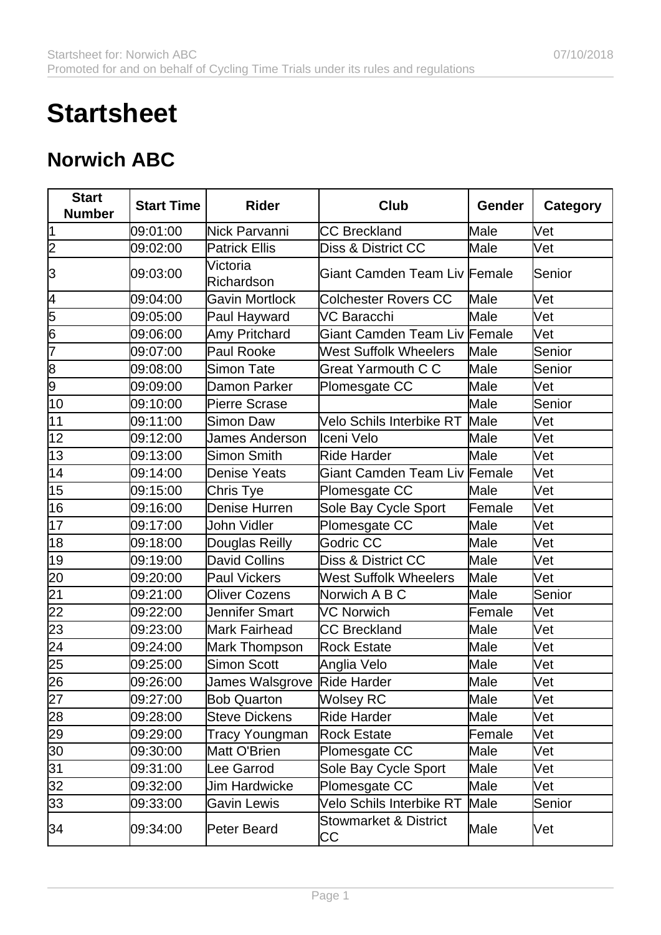## **Startsheet**

## **Norwich ABC**

| <b>Start</b><br><b>Number</b> | <b>Start Time</b> | <b>Rider</b>                | Club                                   | Gender | <b>Category</b> |
|-------------------------------|-------------------|-----------------------------|----------------------------------------|--------|-----------------|
| 1                             | 09:01:00          | Nick Parvanni               | <b>CC Breckland</b>                    | Male   | Vet             |
| 2                             | 09:02:00          | <b>Patrick Ellis</b>        | Diss & District CC                     | Male   | Vet             |
| 3                             | 09:03:00          | Victoria<br>Richardson      | Giant Camden Team Liv Female           |        | lSenior         |
| 4                             | 09:04:00          | <b>Gavin Mortlock</b>       | Colchester Rovers CC                   | Male   | Vet             |
| 5                             | 09:05:00          | Paul Hayward                | VC Baracchi                            | Male   | Vet             |
| 6                             | 09:06:00          | Amy Pritchard               | Giant Camden Team Liv Female           |        | Vet             |
| 7                             | 09:07:00          | Paul Rooke                  | <b>West Suffolk Wheelers</b>           | Male   | Senior          |
| 8                             | 09:08:00          | Simon Tate                  | <b>Great Yarmouth C C</b>              | Male   | Senior          |
| 9                             | 09:09:00          | Damon Parker                | Plomesgate CC                          | Male   | Vet             |
| 10                            | 09:10:00          | Pierre Scrase               |                                        | Male   | Senior          |
| 11                            | 09:11:00          | Simon Daw                   | Velo Schils Interbike RT               | Male   | Vet             |
| 12                            | 09:12:00          | <b>James Anderson</b>       | llceni Velo                            | Male   | Vet             |
| 13                            | 09:13:00          | Simon Smith                 | Ride Harder                            | Male   | Vet             |
| 14                            | 09:14:00          | <b>Denise Yeats</b>         | Giant Camden Team Liv Female           |        | Vet             |
| 15                            | 09:15:00          | Chris Tye                   | Plomesgate CC                          | Male   | Vet             |
| 16                            | 09:16:00          | Denise Hurren               | Sole Bay Cycle Sport                   | Female | Vet             |
| 17                            | 09:17:00          | John Vidler                 | Plomesgate CC                          | Male   | Vet             |
| 18                            | 09:18:00          | Douglas Reilly              | Godric CC                              | Male   | Vet             |
| 19                            | 09:19:00          | David Collins               | Diss & District CC                     | Male   | Vet             |
| 20                            | 09:20:00          | <b>Paul Vickers</b>         | <b>West Suffolk Wheelers</b>           | Male   | Vet             |
| 21                            | 09:21:00          | <b>Oliver Cozens</b>        | Norwich A B C                          | Male   | Senior          |
| $\overline{22}$               | 09:22:00          | Jennifer Smart              | <b>VC Norwich</b>                      | Female | Vet             |
| 23                            | 09:23:00          | Mark Fairhead               | <b>CC Breckland</b>                    | Male   | Vet             |
| 24                            | 09:24:00          | Mark Thompson               | <b>Rock Estate</b>                     | Male   | Vet             |
| 25                            | 09:25:00          | <b>Simon Scott</b>          | Anglia Velo                            | Male   | Vet             |
| 26                            | 09:26:00          | James Walsgrove Ride Harder |                                        | Male   | <b>Net</b>      |
| 27                            | 09:27:00          | <b>Bob Quarton</b>          | Wolsey RC                              | Male   | Vet             |
| 28                            | 09:28:00          | <b>Steve Dickens</b>        | <b>Ride Harder</b>                     | Male   | Vet             |
| 29                            | 09:29:00          | Tracy Youngman              | <b>Rock Estate</b>                     | Female | Vet             |
| 30                            | 09:30:00          | Matt O'Brien                | Plomesgate CC                          | Male   | Vet             |
| 31                            | 09:31:00          | Lee Garrod                  | Sole Bay Cycle Sport                   | Male   | Vet             |
| 32                            | 09:32:00          | Jim Hardwicke               | Plomesgate CC                          | Male   | Vet             |
| 33                            | 09:33:00          | <b>Gavin Lewis</b>          | Velo Schils Interbike RT               | Male   | Senior          |
| 34                            | 09:34:00          | Peter Beard                 | <b>Stowmarket &amp; District</b><br>СC | Male   | Vet             |